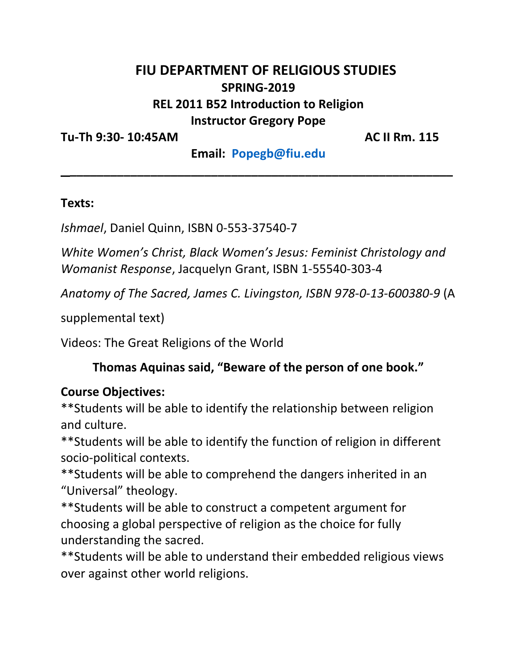## **FIU DEPARTMENT OF RELIGIOUS STUDIES SPRING-2019 REL 2011 B52 Introduction to Religion Instructor Gregory Pope**

**Tu-Th 9:30- 10:45AM AC II Rm. 115**

**Email: [Popegb@fiu.edu](mailto:Popegb@fiu.edu) \_\_\_\_\_\_\_\_\_\_\_\_\_\_\_\_\_\_\_\_\_\_\_\_\_\_\_\_\_\_\_\_\_\_\_\_\_\_\_\_\_\_\_\_\_\_\_\_\_\_\_\_\_\_\_\_\_**

#### **Texts:**

*Ishmael*, Daniel Quinn, ISBN 0-553-37540-7

*White Women's Christ, Black Women's Jesus: Feminist Christology and Womanist Response*, Jacquelyn Grant, ISBN 1-55540-303-4

*Anatomy of The Sacred, James C. Livingston, ISBN 978-0-13-600380-9* (A

supplemental text)

Videos: The Great Religions of the World

#### **Thomas Aquinas said, "Beware of the person of one book."**

#### **Course Objectives:**

\*\*Students will be able to identify the relationship between religion and culture.

\*\*Students will be able to identify the function of religion in different socio-political contexts.

\*\*Students will be able to comprehend the dangers inherited in an "Universal" theology.

\*\*Students will be able to construct a competent argument for choosing a global perspective of religion as the choice for fully understanding the sacred.

\*\*Students will be able to understand their embedded religious views over against other world religions.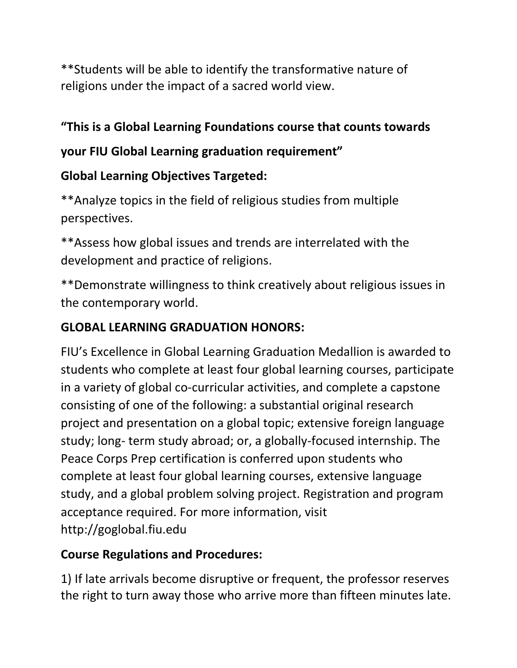\*\*Students will be able to identify the transformative nature of religions under the impact of a sacred world view.

## **"This is a Global Learning Foundations course that counts towards**

## **your FIU Global Learning graduation requirement"**

# **Global Learning Objectives Targeted:**

\*\*Analyze topics in the field of religious studies from multiple perspectives.

\*\*Assess how global issues and trends are interrelated with the development and practice of religions.

\*\*Demonstrate willingness to think creatively about religious issues in the contemporary world.

## **GLOBAL LEARNING GRADUATION HONORS:**

FIU's Excellence in Global Learning Graduation Medallion is awarded to students who complete at least four global learning courses, participate in a variety of global co-curricular activities, and complete a capstone consisting of one of the following: a substantial original research project and presentation on a global topic; extensive foreign language study; long- term study abroad; or, a globally-focused internship. The Peace Corps Prep certification is conferred upon students who complete at least four global learning courses, extensive language study, and a global problem solving project. Registration and program acceptance required. For more information, visit http://goglobal.fiu.edu

## **Course Regulations and Procedures:**

1) If late arrivals become disruptive or frequent, the professor reserves the right to turn away those who arrive more than fifteen minutes late.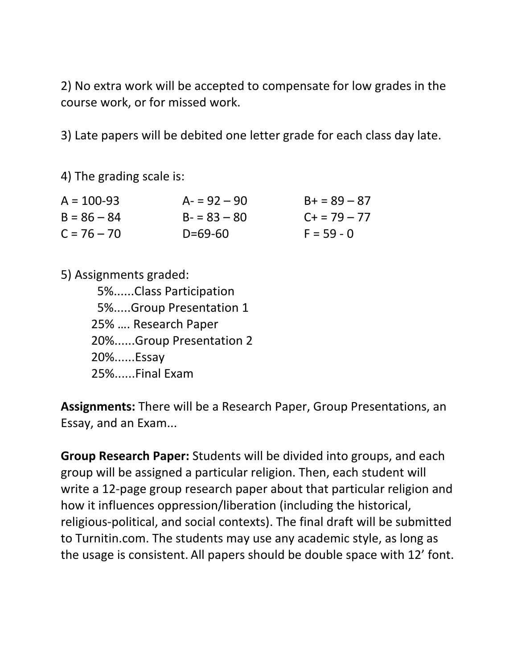2) No extra work will be accepted to compensate for low grades in the course work, or for missed work.

3) Late papers will be debited one letter grade for each class day late.

4) The grading scale is:

| $A = 100 - 93$ | $A = 92 - 90$ | $B+ = 89 - 87$ |
|----------------|---------------|----------------|
| $B = 86 - 84$  | $B - 83 - 80$ | $C + 79 - 77$  |
| $C = 76 - 70$  | $D = 69 - 60$ | $F = 59 - 0$   |

5) Assignments graded: 5%......Class Participation 5%.....Group Presentation 1 25% …. Research Paper 20%......Group Presentation 2 20%......Essay 25%......Final Exam

**Assignments:** There will be a Research Paper, Group Presentations, an Essay, and an Exam...

**Group Research Paper:** Students will be divided into groups, and each group will be assigned a particular religion. Then, each student will write a 12-page group research paper about that particular religion and how it influences oppression/liberation (including the historical, religious-political, and social contexts). The final draft will be submitted to Turnitin.com. The students may use any academic style, as long as the usage is consistent. All papers should be double space with 12' font.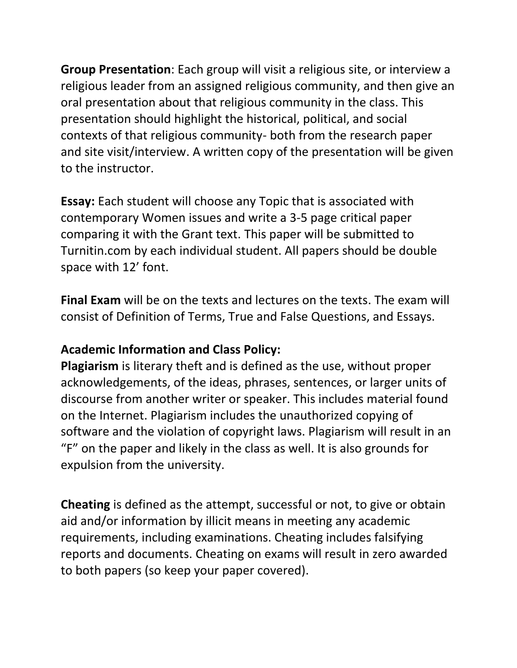**Group Presentation**: Each group will visit a religious site, or interview a religious leader from an assigned religious community, and then give an oral presentation about that religious community in the class. This presentation should highlight the historical, political, and social contexts of that religious community- both from the research paper and site visit/interview. A written copy of the presentation will be given to the instructor.

**Essay:** Each student will choose any Topic that is associated with contemporary Women issues and write a 3-5 page critical paper comparing it with the Grant text. This paper will be submitted to Turnitin.com by each individual student. All papers should be double space with 12' font.

**Final Exam** will be on the texts and lectures on the texts. The exam will consist of Definition of Terms, True and False Questions, and Essays.

### **Academic Information and Class Policy:**

**Plagiarism** is literary theft and is defined as the use, without proper acknowledgements, of the ideas, phrases, sentences, or larger units of discourse from another writer or speaker. This includes material found on the Internet. Plagiarism includes the unauthorized copying of software and the violation of copyright laws. Plagiarism will result in an "F" on the paper and likely in the class as well. It is also grounds for expulsion from the university.

**Cheating** is defined as the attempt, successful or not, to give or obtain aid and/or information by illicit means in meeting any academic requirements, including examinations. Cheating includes falsifying reports and documents. Cheating on exams will result in zero awarded to both papers (so keep your paper covered).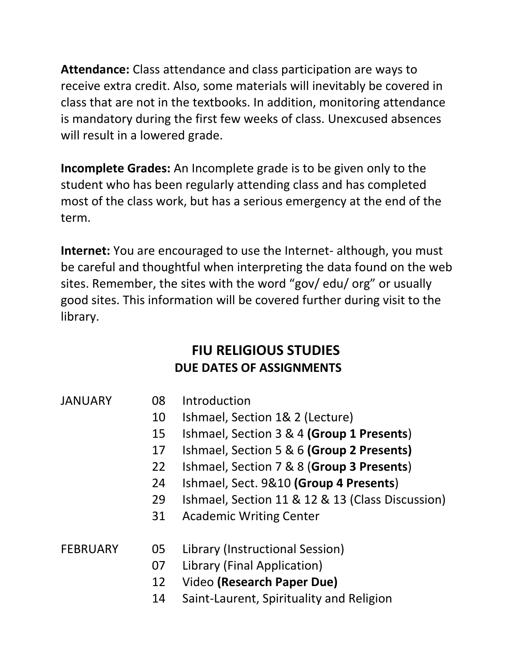**Attendance:** Class attendance and class participation are ways to receive extra credit. Also, some materials will inevitably be covered in class that are not in the textbooks. In addition, monitoring attendance is mandatory during the first few weeks of class. Unexcused absences will result in a lowered grade.

**Incomplete Grades:** An Incomplete grade is to be given only to the student who has been regularly attending class and has completed most of the class work, but has a serious emergency at the end of the term.

**Internet:** You are encouraged to use the Internet- although, you must be careful and thoughtful when interpreting the data found on the web sites. Remember, the sites with the word "gov/ edu/ org" or usually good sites. This information will be covered further during visit to the library.

# **FIU RELIGIOUS STUDIES DUE DATES OF ASSIGNMENTS**

### JANUARY 08 Introduction

- 10 Ishmael, Section 1& 2 (Lecture)
- 15 Ishmael, Section 3 & 4 **(Group 1 Presents**)
- 17 Ishmael, Section 5 & 6 **(Group 2 Presents)**
- 22 Ishmael, Section 7 & 8 (**Group 3 Presents**)
- 24 Ishmael, Sect. 9&10 **(Group 4 Presents**)
- 29 Ishmael, Section 11 & 12 & 13 (Class Discussion)
- 31 Academic Writing Center

### FEBRUARY 05 Library (Instructional Session)

- 07 Library (Final Application)
- 12 Video **(Research Paper Due)**
- 14 Saint-Laurent, Spirituality and Religion